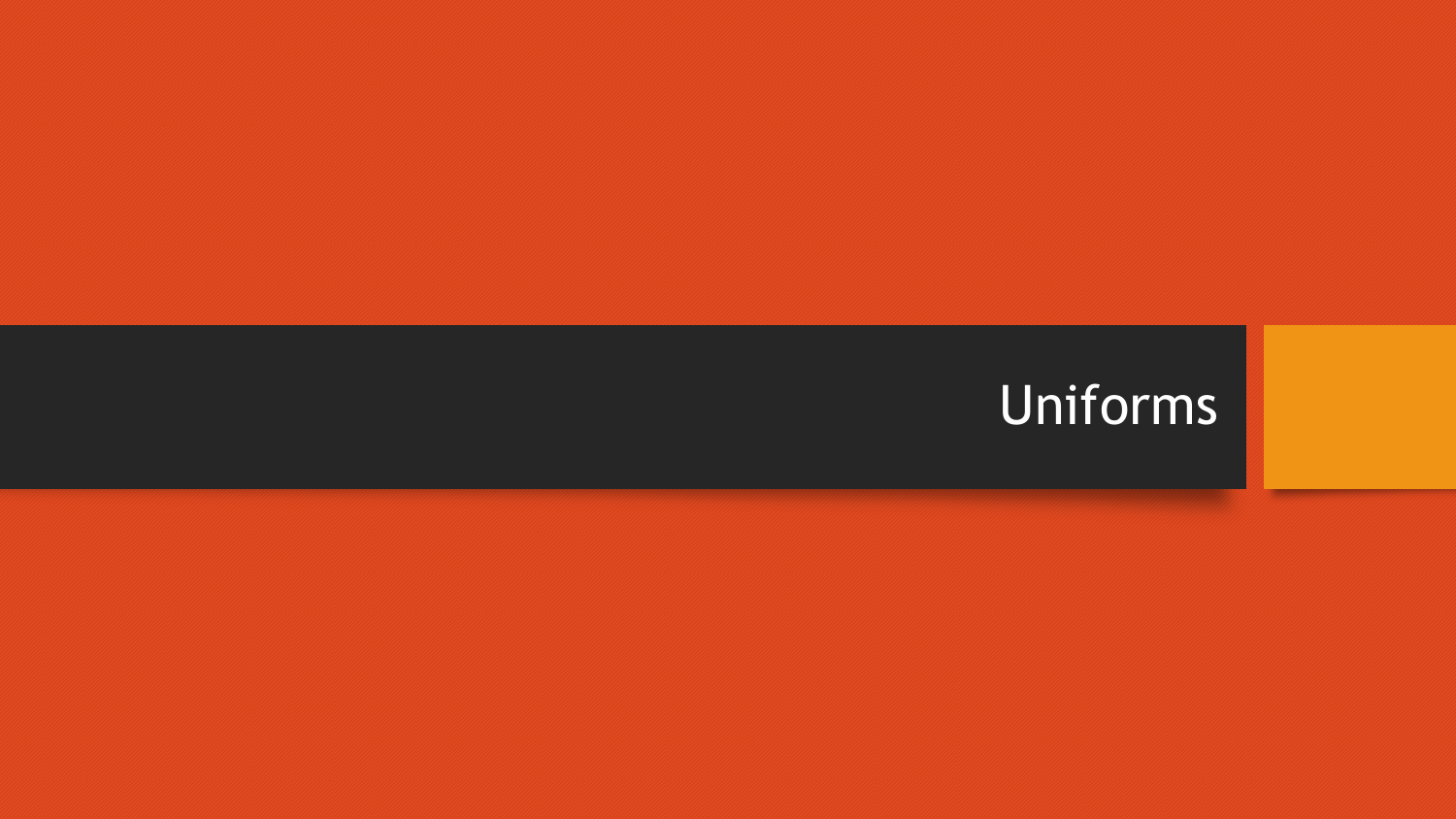# Uniforms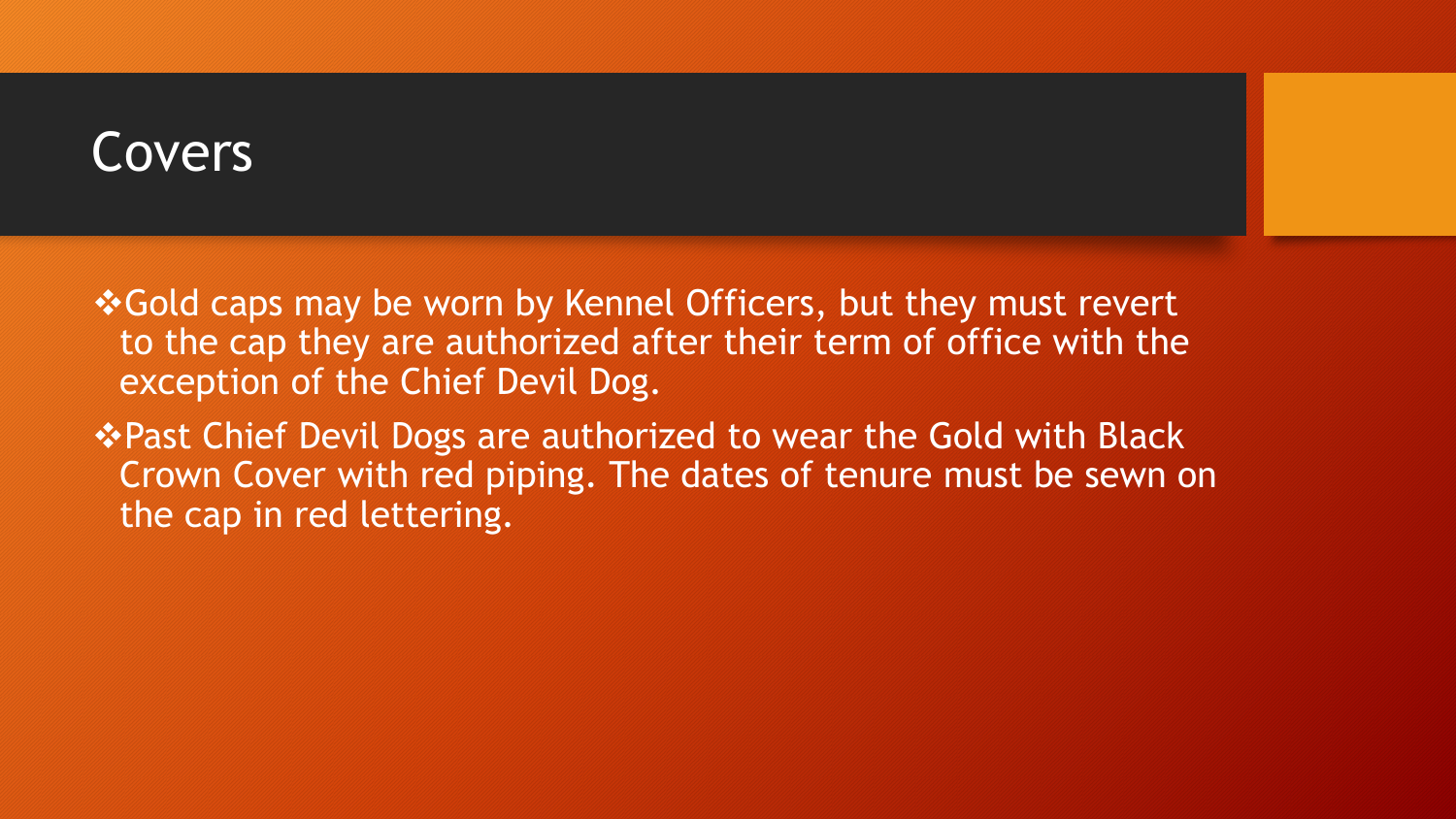#### Covers

❖Gold caps may be worn by Kennel Officers, but they must revert to the cap they are authorized after their term of office with the exception of the Chief Devil Dog.

**\*Past Chief Devil Dogs are authorized to wear the Gold with Black** Crown Cover with red piping. The dates of tenure must be sewn on the cap in red lettering.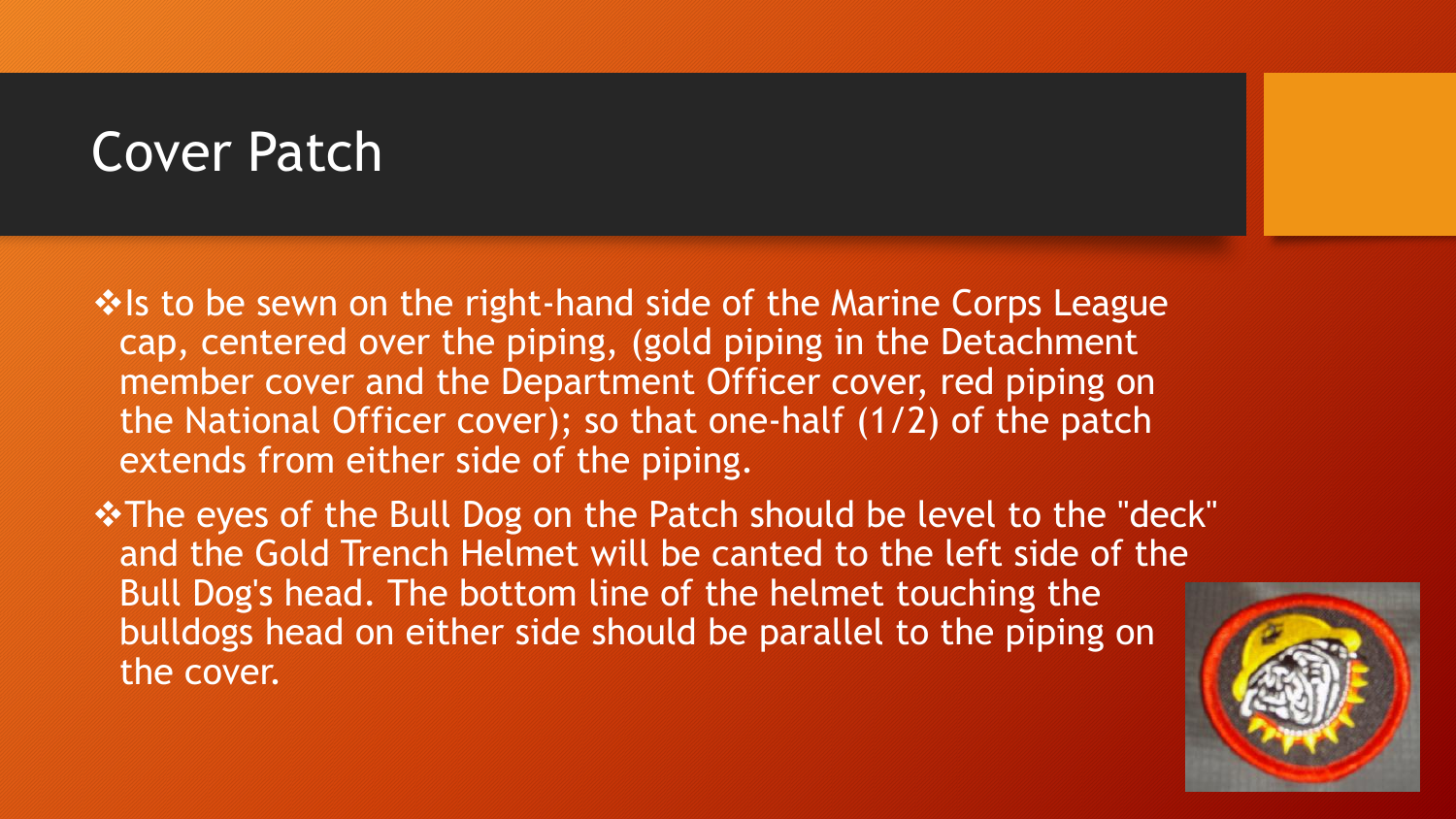### Cover Patch

 $\cdot$  **Is to be sewn on the right-hand side of the Marine Corps League** cap, centered over the piping, (gold piping in the Detachment member cover and the Department Officer cover, red piping on the National Officer cover); so that one-half (1/2) of the patch extends from either side of the piping.

**\*The eyes of the Bull Dog on the Patch should be level to the "deck"** and the Gold Trench Helmet will be canted to the left side of the Bull Dog's head. The bottom line of the helmet touching the bulldogs head on either side should be parallel to the piping on the cover.

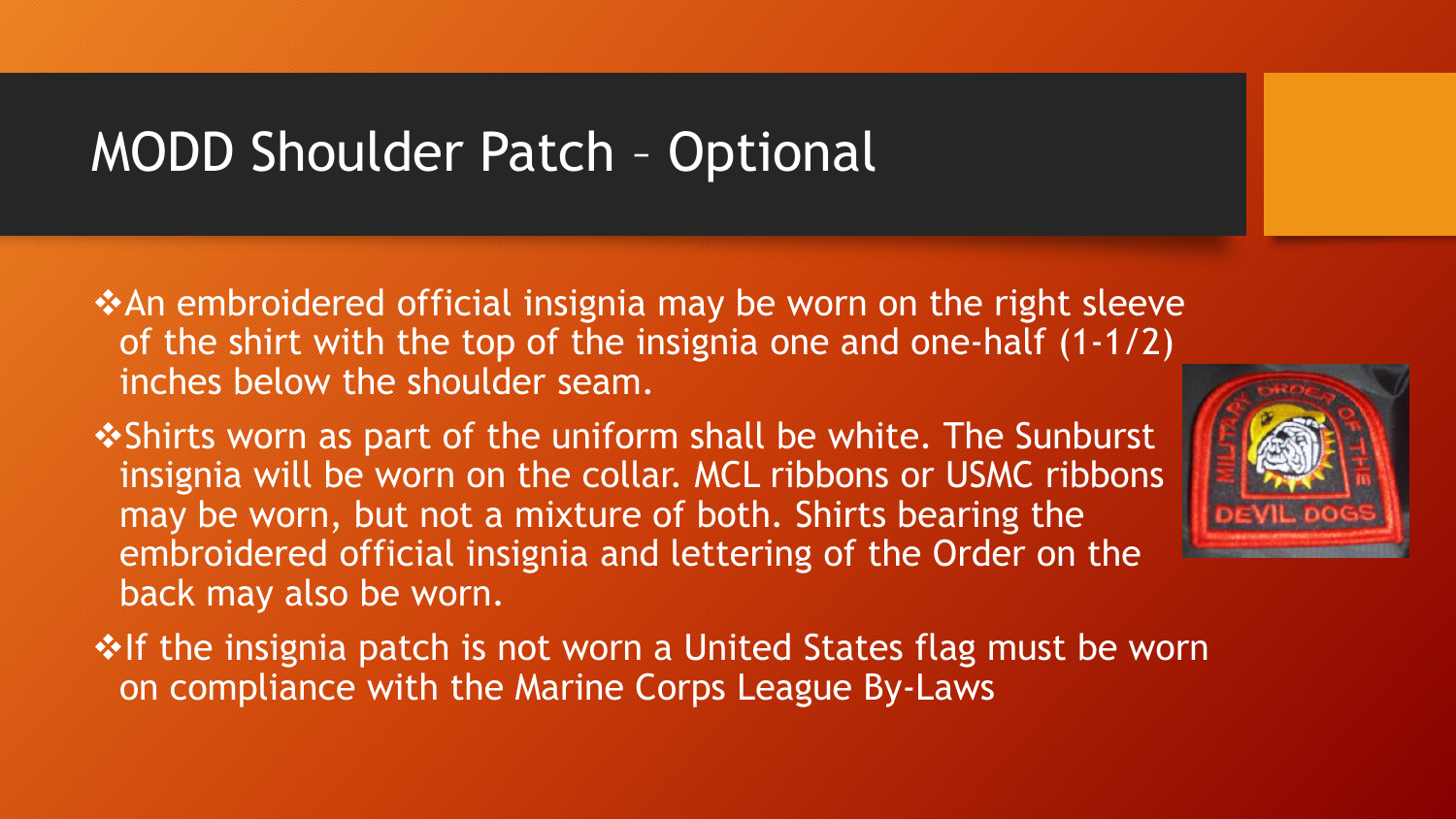## MODD Shoulder Patch – Optional

- **\*An embroidered official insignia may be worn on the right sleeve** of the shirt with the top of the insignia one and one-half (1-1/2) inches below the shoulder seam.
- $\cdot$ Shirts worn as part of the uniform shall be white. The Sunburst insignia will be worn on the collar. MCL ribbons or USMC ribbons may be worn, but not a mixture of both. Shirts bearing the embroidered official insignia and lettering of the Order on the back may also be worn.
- **If the insignia patch is not worn a United States flag must be worn** on compliance with the Marine Corps League By-Laws

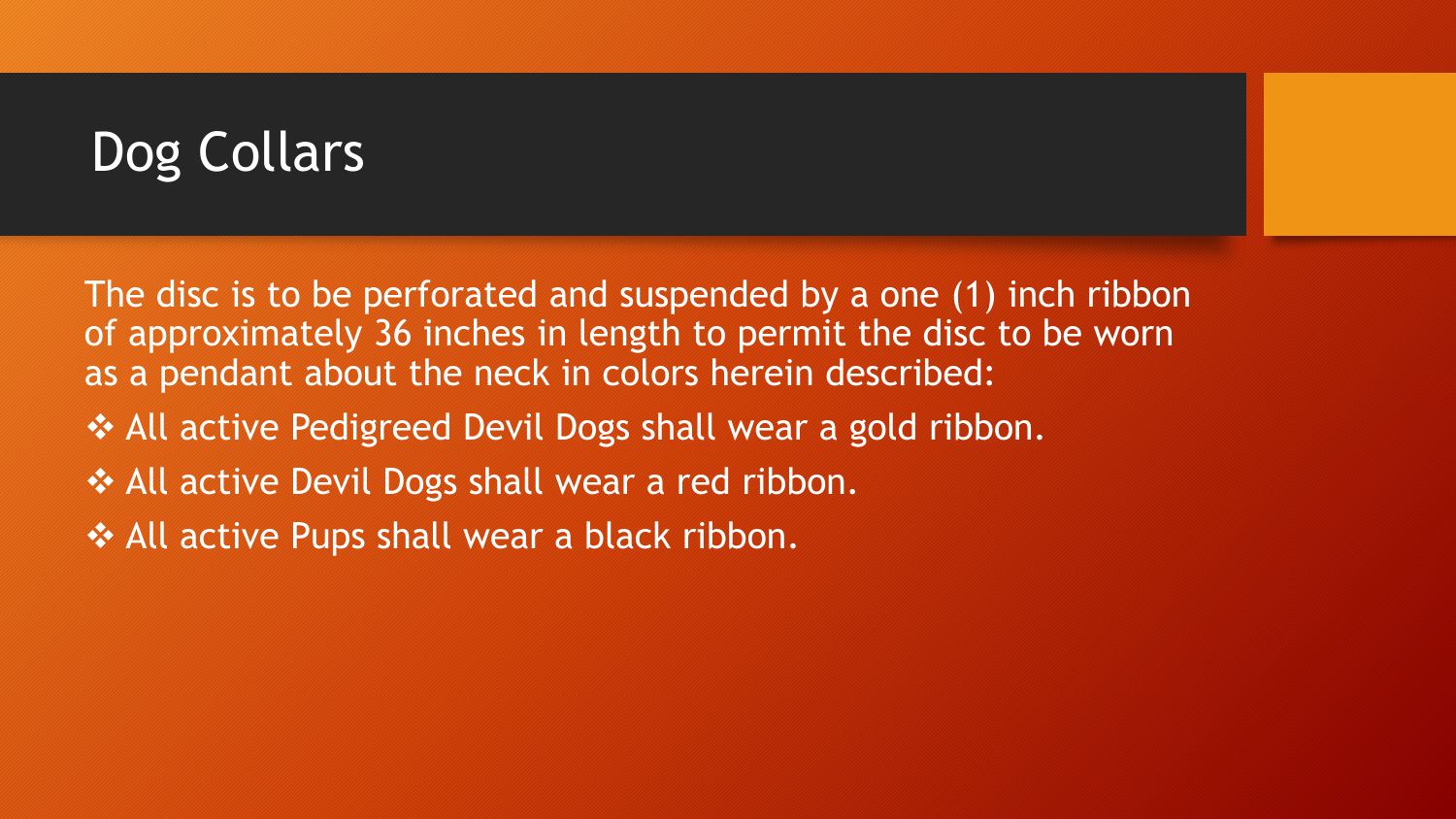# Dog Collars

The disc is to be perforated and suspended by a one (1) inch ribbon of approximately 36 inches in length to permit the disc to be worn as a pendant about the neck in colors herein described:

- All active Pedigreed Devil Dogs shall wear a gold ribbon.
- ❖ All active Devil Dogs shall wear a red ribbon.
- ❖ All active Pups shall wear a black ribbon.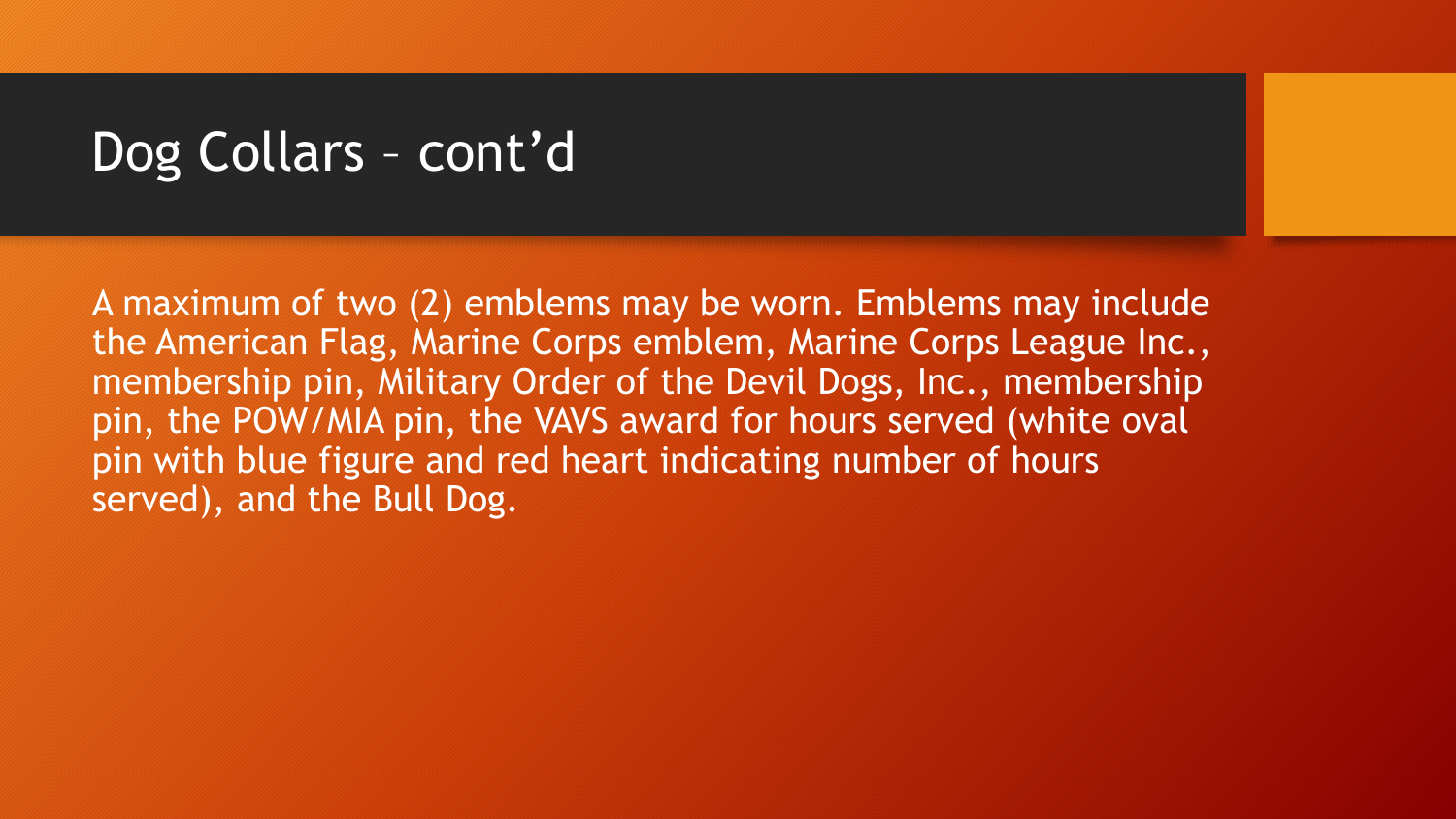## Dog Collars – cont'd

A maximum of two (2) emblems may be worn. Emblems may include the American Flag, Marine Corps emblem, Marine Corps League Inc., membership pin, Military Order of the Devil Dogs, Inc., membership pin, the POW/MIA pin, the VAVS award for hours served (white oval pin with blue figure and red heart indicating number of hours served), and the Bull Dog.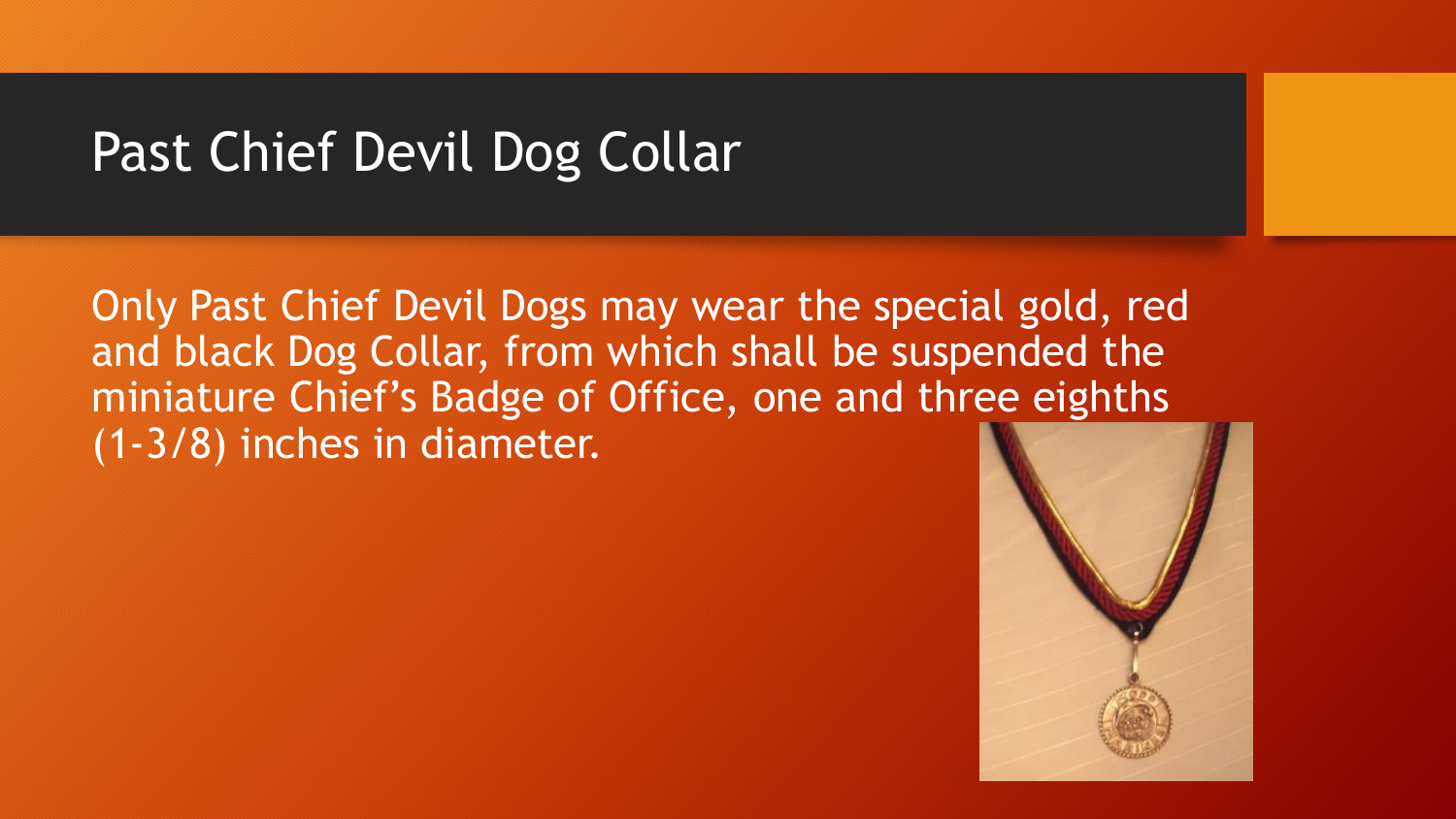## Past Chief Devil Dog Collar

Only Past Chief Devil Dogs may wear the special gold, red and black Dog Collar, from which shall be suspended the miniature Chief's Badge of Office, one and three eighths (1-3/8) inches in diameter.